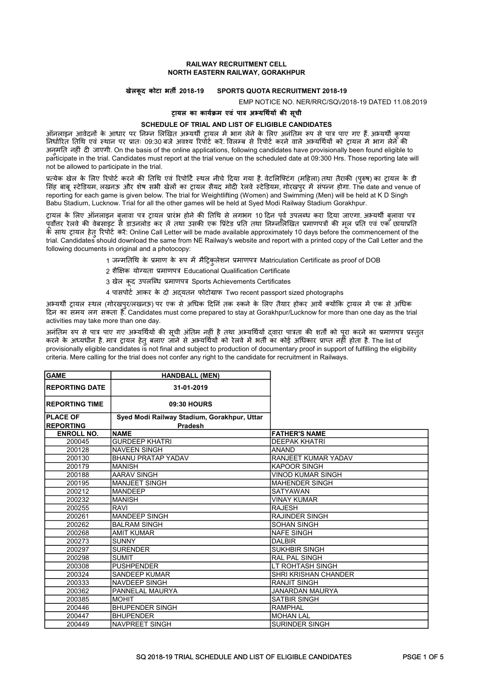## RAILWAY RECRUITMENT CELL NORTH EASTERN RAILWAY, GORAKHPUR

## खेलकूद कोटा भतȸ 2018-19 SPORTS QUOTA RECRUITMENT 2018-19

EMP NOTICE NO. NER/RRC/SQ\/2018-19 DATED 11.08.2019

## टायल का कार्यक्रम एवं पात्र अभ्यर्थियों की सूची

## SCHEDULE OF TRIAL AND LIST OF ELIGIBLE CANDIDATES

ऑनलाइन आवेदनों के आधार पर निम्न लिखित अभ्यर्थी टायल में भाग लेने के लिए अनंतिम रूप से पात्र पाए गए हैं. अभ्यर्थी कपया निर्धारित तिथि एवं स्थान पर प्रातः 09:30 बजे अवश्य रिपोर्ट करें. विलम्ब से रिपोर्ट करने वाले अभ्यर्थियों को टायल में भाग लेने की अनमति नहीं दी जाएगी. On the basis of the online applications, following candidates have provisionally been found eligible to participate in the trial. Candidates must report at the trial venue on the scheduled date at 09:300 Hrs. Those reporting late will not be allowed to participate in the trial.

प्रत्येक खेल के लिए रिपोर्ट करने की तिथि एवं रिपोर्टि स्थल नीचे दिया गया है. वेटलिफ्टिंग (महिला) तथा तैराकी (परुष) का ट्रायल के डी सिंह बाब स्टेडियम, लखनऊ और शेष सभी खेलों का टायल सैयद मोदी रेलवे स्टेडियम, गोरखपुर में संपन्न होगा. The date and venue of reporting for each game is given below. The trial for Weightlifting (Women) and Swimming (Men) will be held at K D Singh Babu Stadium, Lucknow. Trial for all the other games will be held at Syed Modi Railway Stadium Gorakhpur.

ट्रायल के लिए ऑनलाइन बुलावा पत्र ट्रायल प्रारंभ होने की तिथि से लगभग 10 दिन पुर्व उपलब्ध करा दिया जाएगा. अभ्यर्थी बुलावा पत्र पूर्वोत्तर रेलवे की वेबसाइट से डाउनलोड कर ले तथा उसकी एक प्रिंटेड प्रति तथा निम्नलिखित प्रमाणपत्रों की मूल प्रति एवं एक छायाप्रति के साथ ट्रायल हेतु रिपोर्ट करें: Online Call Letter will be made available approximately 10 days before the commencement of the trial. Candidates should download the same from NE Railway's website and report with a printed copy of the Call Letter and the following documents in original and a photocopy:

- 1 जन्मतिथि के प्रमाण के रूप में मैट्रिकुलेशन प्रमाणपत्र Matriculation Certificate as proof of DOB
- 2 शैक्षिक योग्यता प्रमाणपत्र Educational Qualification Certificate
- 3 खेल कूद उपलब्धि प्रमाणपत्र Sports Achievements Certificates
- 4 पासपोर्ट आकर के दो अद्यतन फोटोग्राफ Two recent passport sized photographs

अभ्यर्थी टायल स्थल (गोरखपुर/लखनऊ) पर एक से अधिक दिनिं तक रुकने के लिए तैयार होकर आयें क्योंकि टायल में एक से अधिक दिन का समय लग सकता है. Candidates must come prepared to stay at Gorakhpur/Lucknow for more than one day as the trial activities may take more than one day.

अनंतिम रुप से पात्र पाए गए अभ्यर्थियों की सची अंतिम नहीं है तथा अभ्यर्थियों दवारा पात्रता की शर्तों को परा करने का प्रमाणपत्र प्रस्तत करने के अध्यधीन है. मात्र ट्रायल हेतु बलाए जाने से अभ्यर्थियों को रेलवे में भर्ती का कोई अधिकार प्राप्त नहीं होता है. The list of provisionally eligible candidates is not final and subject to production of documentary proof in support of fulfilling the eligibility criteria. Mere calling for the trial does not confer any right to the candidate for recruitment in Railways.

| <b>GAME</b>            | <b>HANDBALL (MEN)</b>                       |                             |
|------------------------|---------------------------------------------|-----------------------------|
| <b>IREPORTING DATE</b> | 31-01-2019                                  |                             |
| <b>IREPORTING TIME</b> | 09:30 HOURS                                 |                             |
| <b>PLACE OF</b>        | Syed Modi Railway Stadium, Gorakhpur, Uttar |                             |
| <b>REPORTING</b>       | <b>Pradesh</b>                              |                             |
| <b>ENROLL NO.</b>      | <b>NAME</b>                                 | <b>FATHER'S NAME</b>        |
| 200045                 | <b>GURDEEP KHATRI</b>                       | <b>DEEPAK KHATRI</b>        |
| 200128                 | <b>NAVEEN SINGH</b>                         | <b>ANAND</b>                |
| 200130                 | <b>BHANU PRATAP YADAV</b>                   | RANJEET KUMAR YADAV         |
| 200179                 | <b>MANISH</b>                               | <b>KAPOOR SINGH</b>         |
| 200188                 | <b>AARAV SINGH</b>                          | <b>VINOD KUMAR SINGH</b>    |
| 200195                 | MANJEET SINGH                               | <b>MAHENDER SINGH</b>       |
| 200212                 | <b>MANDEEP</b>                              | <b>SATYAWAN</b>             |
| 200232                 | <b>MANISH</b>                               | <b>VINAY KUMAR</b>          |
| 200255                 | <b>RAVI</b>                                 | <b>RAJESH</b>               |
| 200261                 | MANDEEP SINGH                               | <b>RAJINDER SINGH</b>       |
| 200262                 | <b>BALRAM SINGH</b>                         | <b>SOHAN SINGH</b>          |
| 200268                 | <b>AMIT KUMAR</b>                           | <b>NAFE SINGH</b>           |
| 200273                 | <b>SUNNY</b>                                | <b>DALBIR</b>               |
| 200297                 | <b>SURENDER</b>                             | <b>SUKHBIR SINGH</b>        |
| 200298                 | <b>SUMIT</b>                                | <b>RAL PAL SINGH</b>        |
| 200308                 | <b>PUSHPENDER</b>                           | LT ROHTASH SINGH            |
| 200324                 | SANDEEP KUMAR                               | <b>SHRI KRISHAN CHANDER</b> |
| 200333                 | <b>NAVDEEP SINGH</b>                        | <b>RANJIT SINGH</b>         |
| 200362                 | <b>PANNELAL MAURYA</b>                      | <b>JANARDAN MAURYA</b>      |
| 200385                 | <b>MOHIT</b>                                | <b>SATBIR SINGH</b>         |
| 200446                 | <b>BHUPENDER SINGH</b>                      | <b>RAMPHAL</b>              |
| 200447                 | <b>BHUPENDER</b>                            | <b>MOHAN LAL</b>            |
| 200449                 | <b>NAVPREET SINGH</b>                       | <b>SURINDER SINGH</b>       |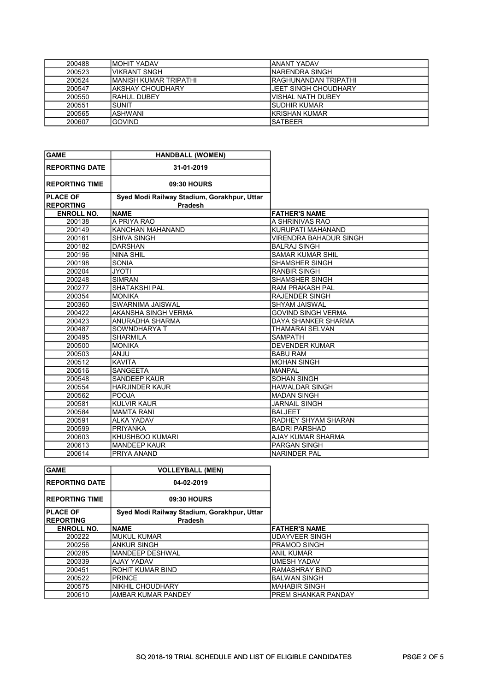| 200488 | IMOHIT YADAV           | IANANT YADAV          |
|--------|------------------------|-----------------------|
| 200523 | IVIKRANT SNGH          | INARENDRA SINGH       |
| 200524 | İMANISH KUMAR TRIPATHI | IRAGHUNANDAN TRIPATHI |
| 200547 | IAKSHAY CHOUDHARY      | JEET SINGH CHOUDHARY  |
| 200550 | IRAHUL DUBEY           | lvishal nath dubey    |
| 200551 | ISUNIT                 | <b>ISUDHIR KUMAR</b>  |
| 200565 | IASHWANI               | IKRISHAN KUMAR        |
| 200607 | <b>GOVIND</b>          | ISATBEER              |

| <b>GAME</b>           | <b>HANDBALL (WOMEN)</b>                     |                               |
|-----------------------|---------------------------------------------|-------------------------------|
| <b>REPORTING DATE</b> | 31-01-2019                                  |                               |
| <b>REPORTING TIME</b> | 09:30 HOURS                                 |                               |
| <b>PLACE OF</b>       | Syed Modi Railway Stadium, Gorakhpur, Uttar |                               |
| <b>REPORTING</b>      | Pradesh                                     |                               |
| <b>ENROLL NO.</b>     | <b>NAME</b>                                 | <b>FATHER'S NAME</b>          |
| 200138                | A PRIYA RAO                                 | A SHRINIVAS RAO               |
| 200149                | <b>KANCHAN MAHANAND</b>                     | KURUPATI MAHANAND             |
| 200161                | <b>SHIVA SINGH</b>                          | <b>VIRENDRA BAHADUR SINGH</b> |
| 200182                | <b>DARSHAN</b>                              | <b>BALRAJ SINGH</b>           |
| 200196                | <b>NINA SHIL</b>                            | <b>SAMAR KUMAR SHIL</b>       |
| 200198                | <b>SONIA</b>                                | <b>SHAMSHER SINGH</b>         |
| 200204                | <b>JYOTI</b>                                | <b>RANBIR SINGH</b>           |
| 200248                | <b>SIMRAN</b>                               | <b>SHAMSHER SINGH</b>         |
| 200277                | <b>SHATAKSHI PAL</b>                        | <b>RAM PRAKASH PAL</b>        |
| 200354                | <b>MONIKA</b>                               | <b>RAJENDER SINGH</b>         |
| 200360                | SWARNIMA JAISWAL                            | <b>SHYAM JAISWAL</b>          |
| 200422                | AKANSHA SINGH VERMA                         | <b>GOVIND SINGH VERMA</b>     |
| 200423                | ANURADHA SHARMA                             | DAYA SHANKER SHARMA           |
| 200487                | SOWNDHARYA T                                | <b>THAMARAI SELVAN</b>        |
| 200495                | <b>SHARMILA</b>                             | <b>SAMPATH</b>                |
| 200500                | <b>MONIKA</b>                               | <b>DEVENDER KUMAR</b>         |
| 200503                | <b>ULIAN</b>                                | <b>BABU RAM</b>               |
| 200512                | <b>KAVITA</b>                               | <b>MOHAN SINGH</b>            |
| 200516                | <b>SANGEETA</b>                             | <b>MANPAL</b>                 |
| 200548                | SANDEEP KAUR                                | <b>SOHAN SINGH</b>            |
| 200554                | <b>HARJINDER KAUR</b>                       | <b>HAWALDAR SINGH</b>         |
| 200562                | <b>POOJA</b>                                | <b>MADAN SINGH</b>            |
| 200581                | <b>KULVIR KAUR</b>                          | <b>JARNAIL SINGH</b>          |
| 200584                | <b>MAMTA RANI</b>                           | <b>BALJEET</b>                |
| 200591                | <b>ALKA YADAV</b>                           | RADHEY SHYAM SHARAN           |
| 200599                | <b>PRIYANKA</b>                             | <b>BADRI PARSHAD</b>          |
| 200603                | KHUSHBOO KUMARI                             | <b>AJAY KUMAR SHARMA</b>      |
| 200613                | <b>MANDEEP KAUR</b>                         | <b>PARGAN SINGH</b>           |
| 200614                | PRIYA ANAND                                 | <b>NARINDER PAL</b>           |

| <b>GAME</b>            | <b>VOLLEYBALL (MEN)</b>                     |                      |
|------------------------|---------------------------------------------|----------------------|
| <b>IREPORTING DATE</b> | 04-02-2019                                  |                      |
| <b>IREPORTING TIME</b> | 09:30 HOURS                                 |                      |
| <b>PLACE OF</b>        | Syed Modi Railway Stadium, Gorakhpur, Uttar |                      |
| <b>IREPORTING</b>      | <b>Pradesh</b>                              |                      |
| <b>ENROLL NO.</b>      | <b>INAME</b>                                | <b>FATHER'S NAME</b> |
| 200222                 | IMUKUL KUMAR                                | IUDAYVEER SINGH      |
| 200256                 | <b>ANKUR SINGH</b>                          | IPRAMOD SINGH        |
| 200285                 | IMANDEEP DESHWAL                            | IANIL KUMAR          |
| 200339                 | IAJAY YADAV                                 | <b>UMESH YADAV</b>   |
| 200451                 | IROHIT KUMAR BIND                           | RAMASHRAY BIND       |
| 200522                 | <b>PRINCE</b>                               | IBALWAN SINGH        |
| 200575                 | NIKHIL CHOUDHARY                            | IMAHABIR SINGH       |
| 200610                 | IAMBAR KUMAR PANDEY                         | IPREM SHANKAR PANDAY |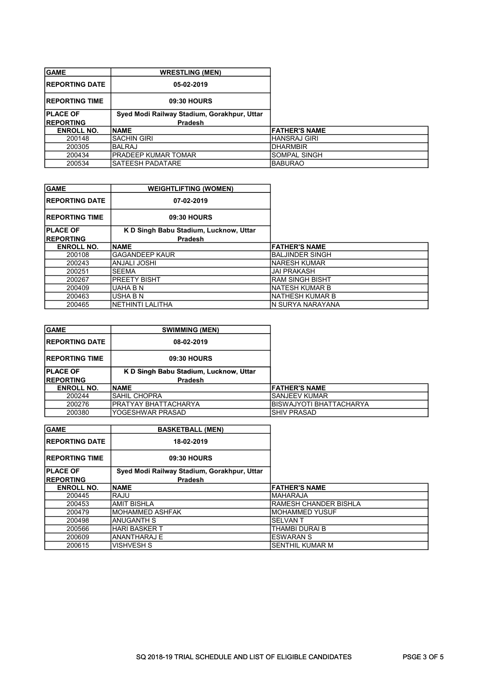| <b>GAME</b>            | <b>WRESTLING (MEN)</b>                      |                       |
|------------------------|---------------------------------------------|-----------------------|
| <b>IREPORTING DATE</b> | 05-02-2019                                  |                       |
| <b>IREPORTING TIME</b> | 09:30 HOURS                                 |                       |
| <b>IPLACE OF</b>       | Syed Modi Railway Stadium, Gorakhpur, Uttar |                       |
|                        |                                             |                       |
| <b>IREPORTING</b>      | <b>Pradesh</b>                              |                       |
| <b>ENROLL NO.</b>      | <b>INAME</b>                                | <b>IFATHER'S NAME</b> |
| 200148                 | <b>SACHIN GIRI</b>                          | IHANSRAJ GIRI         |
| 200305                 | IBALRAJ                                     | <b>IDHARMBIR</b>      |
| 200434                 | IPRADEEP KUMAR TOMAR                        | SOMPAL SINGH          |

| <b>GAME</b>            | <b>WEIGHTLIFTING (WOMEN)</b>           |                      |
|------------------------|----------------------------------------|----------------------|
| <b>IREPORTING DATE</b> | 07-02-2019                             |                      |
| <b>IREPORTING TIME</b> | 09:30 HOURS                            |                      |
| <b>PLACE OF</b>        | K D Singh Babu Stadium, Lucknow, Uttar |                      |
| <b>IREPORTING</b>      | <b>Pradesh</b>                         |                      |
| <b>ENROLL NO.</b>      | <b>INAME</b>                           | <b>FATHER'S NAME</b> |
| 200108                 | lGAGANDEEP KAUR                        | IBALJINDER SINGH     |
| 200243                 | IANJALI JOSHI                          | INARESH KUMAR        |
| 200251                 | ISEEMA                                 | <b>JAI PRAKASH</b>   |
| 200267                 | IPREETY BISHT                          | IRAM SINGH BISHT     |
| 200409                 | IUAHA B N                              | INATESH KUMAR B      |
| 200463                 | IUSHA B N                              | INATHESH KUMAR B     |
| 200465                 | İNETHINTI LALITHA                      | IN SURYA NARAYANA    |

| <b>GAME</b>            | <b>SWIMMING (MEN)</b>                  |                         |
|------------------------|----------------------------------------|-------------------------|
| <b>IREPORTING DATE</b> | 08-02-2019                             |                         |
| <b>IREPORTING TIME</b> | 09:30 HOURS                            |                         |
| <b>PLACE OF</b>        | K D Singh Babu Stadium, Lucknow, Uttar |                         |
| <b>IREPORTING</b>      | <b>Pradesh</b>                         |                         |
| <b>ENROLL NO.</b>      | <b>INAME</b>                           | <b>FATHER'S NAME</b>    |
| 200244                 | ISAHIL CHOPRA                          | <b>SANJEEV KUMAR</b>    |
| 200276                 | PRATYAY BHATTACHARYA                   | BISWAJYOTI BHATTACHARYA |
| 200380                 | YOGESHWAR PRASAD                       | ISHIV PRASAD            |

| <b>GAME</b>            | <b>BASKETBALL (MEN)</b>                     |                        |
|------------------------|---------------------------------------------|------------------------|
| <b>IREPORTING DATE</b> | 18-02-2019                                  |                        |
| <b>IREPORTING TIME</b> | 09:30 HOURS                                 |                        |
| <b>IPLACE OF</b>       | Syed Modi Railway Stadium, Gorakhpur, Uttar |                        |
| <b>IREPORTING</b>      | <b>Pradesh</b>                              |                        |
| <b>ENROLL NO.</b>      | <b>INAME</b>                                | <b>FATHER'S NAME</b>   |
| 200445                 | IRAJU                                       | <b>IMAHARAJA</b>       |
| 200453                 | IAMIT BISHLA                                | IRAMESH CHANDER BISHLA |
| 200479                 | IMOHAMMED ASHFAK                            | IMOHAMMED YUSUF        |
| 200498                 | IANUGANTH S                                 | <b>SELVANT</b>         |
| 200566                 | IHARI BASKER T                              | THAMBI DURAI B         |
| 200609                 | IANANTHARAJ E                               | IESWARAN S             |
| 200615                 | IVISHVESH S                                 | <b>SENTHIL KUMAR M</b> |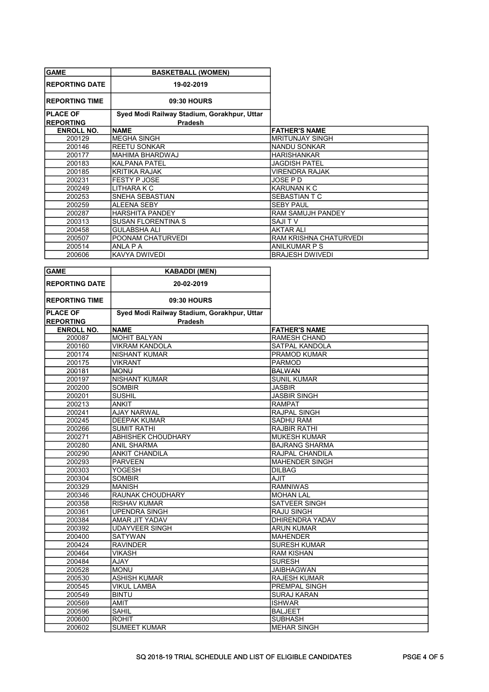| <b>GAME</b>            | <b>BASKETBALL (WOMEN)</b>                   |                          |
|------------------------|---------------------------------------------|--------------------------|
| <b>IREPORTING DATE</b> | 19-02-2019                                  |                          |
| <b>IREPORTING TIME</b> | 09:30 HOURS                                 |                          |
| <b>PLACE OF</b>        | Syed Modi Railway Stadium, Gorakhpur, Uttar |                          |
| <b>REPORTING</b>       | Pradesh                                     |                          |
| <b>ENROLL NO.</b>      | <b>INAME</b>                                | <b>FATHER'S NAME</b>     |
| 200129                 | IMEGHA SINGH                                | IMRITUNJAY SINGH         |
| 200146                 | <b>REETU SONKAR</b>                         | NANDU SONKAR             |
| 200177                 | MAHIMA BHARDWAJ                             | <b>HARISHANKAR</b>       |
| 200183                 | KALPANA PATEL                               | <b>JAGDISH PATEL</b>     |
| 200185                 | İKRITIKA RAJAK                              | <b>VIRENDRA RAJAK</b>    |
| 200231                 | IFESTY P JOSE                               | JOSE P D                 |
| 200249                 | LITHARA K C                                 | IKARUNAN K C             |
| 200253                 | SNEHA SEBASTIAN                             | <b>SEBASTIAN T C</b>     |
| 200259                 | ALEENA SEBY                                 | <b>SEBY PAUL</b>         |
| 200287                 | <b>HARSHITA PANDEY</b>                      | <b>RAM SAMUJH PANDEY</b> |
| 200313                 | <b>SUSAN FLORENTINA S</b>                   | ISAJI T V                |
| 200458                 | <b>GULABSHA ALI</b>                         | AKTAR ALI                |
| 200507                 | POONAM CHATURVEDI                           | RAM KRISHNA CHATURVEDI   |
| 200514                 | ANLA P A                                    | IANILKUMAR P S           |
| 200606                 | <b>KAVYA DWIVEDI</b>                        | <b>BRAJESH DWIVEDI</b>   |

| <b>GAME</b>           | <b>KABADDI (MEN)</b>                        |                        |
|-----------------------|---------------------------------------------|------------------------|
| <b>REPORTING DATE</b> | 20-02-2019                                  |                        |
| <b>REPORTING TIME</b> | 09:30 HOURS                                 |                        |
| <b>PLACE OF</b>       | Syed Modi Railway Stadium, Gorakhpur, Uttar |                        |
| <b>REPORTING</b>      | <b>Pradesh</b>                              |                        |
| <b>ENROLL NO.</b>     | <b>NAME</b>                                 | <b>FATHER'S NAME</b>   |
| 200087                | <b>MOHIT BALYAN</b>                         | <b>RAMESH CHAND</b>    |
| 200160                | <b>VIKRAM KANDOLA</b>                       | SATPAL KANDOLA         |
| 200174                | <b>NISHANT KUMAR</b>                        | <b>PRAMOD KUMAR</b>    |
| 200175                | <b>VIKRANT</b>                              | <b>PARMOD</b>          |
| 200181                | <b>MONU</b>                                 | <b>BALWAN</b>          |
| 200197                | <b>NISHANT KUMAR</b>                        | <b>SUNIL KUMAR</b>     |
| 200200                | <b>SOMBIR</b>                               | <b>JASBIR</b>          |
| 200201                | <b>SUSHIL</b>                               | <b>JASBIR SINGH</b>    |
| 200213                | <b>ANKIT</b>                                | <b>RAMPAT</b>          |
| 200241                | <b>AJAY NARWAL</b>                          | <b>RAJPAL SINGH</b>    |
| 200245                | <b>DEEPAK KUMAR</b>                         | <b>SADHU RAM</b>       |
| 200266                | <b>SUMIT RATHI</b>                          | <b>RAJBIR RATHI</b>    |
| 200271                | <b>ABHISHEK CHOUDHARY</b>                   | <b>MUKESH KUMAR</b>    |
| 200280                | <b>ANIL SHARMA</b>                          | <b>BAJRANG SHARMA</b>  |
| 200290                | <b>ANKIT CHANDILA</b>                       | RAJPAL CHANDILA        |
| 200293                | <b>PARVEEN</b>                              | <b>MAHENDER SINGH</b>  |
| 200303                | <b>YOGESH</b>                               | <b>DILBAG</b>          |
| 200304                | <b>SOMBIR</b>                               | <b>AJIT</b>            |
| 200329                | <b>MANISH</b>                               | <b>RAMNIWAS</b>        |
| 200346                | RAUNAK CHOUDHARY                            | <b>MOHAN LAL</b>       |
| 200358                | <b>RISHAV KUMAR</b>                         | <b>SATVEER SINGH</b>   |
| 200361                | <b>UPENDRA SINGH</b>                        | <b>RAJU SINGH</b>      |
| 200384                | AMAR JIT YADAV                              | <b>DHIRENDRA YADAV</b> |
| 200392                | <b>UDAYVEER SINGH</b>                       | <b>ARUN KUMAR</b>      |
| 200400                | <b>SATYWAN</b>                              | <b>MAHENDER</b>        |
| 200424                | <b>RAVINDER</b>                             | <b>SURESH KUMAR</b>    |
| 200464                | <b>VIKASH</b>                               | <b>RAM KISHAN</b>      |
| 200484                | <b>AJAY</b>                                 | <b>SURESH</b>          |
| 200528                | <b>MONU</b>                                 | <b>JAIBHAGWAN</b>      |
| 200530                | <b>ASHISH KUMAR</b>                         | <b>RAJESH KUMAR</b>    |
| 200545                | <b>VIKUL LAMBA</b>                          | PREMPAL SINGH          |
| 200549                | <b>BINTU</b>                                | <b>SURAJ KARAN</b>     |
| 200569                | <b>AMIT</b>                                 | <b>ISHWAR</b>          |
| 200596                | <b>SAHIL</b>                                | <b>BALJEET</b>         |
| 200600                | <b>ROHIT</b>                                | <b>SUBHASH</b>         |
| 200602                | <b>SUMEET KUMAR</b>                         | <b>MEHAR SINGH</b>     |